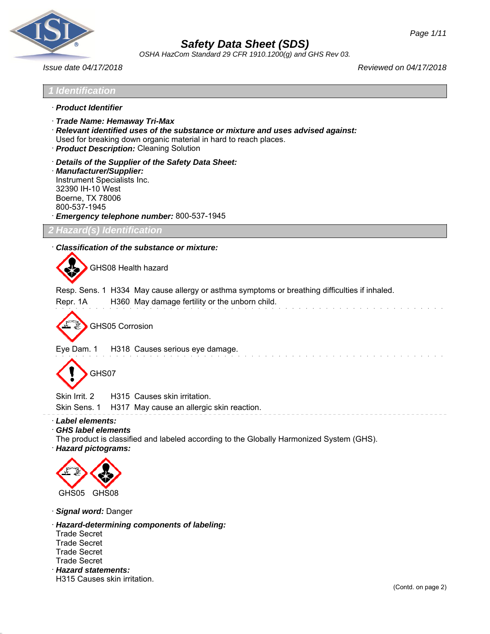

*OSHA HazCom Standard 29 CFR 1910.1200(g) and GHS Rev 03.*

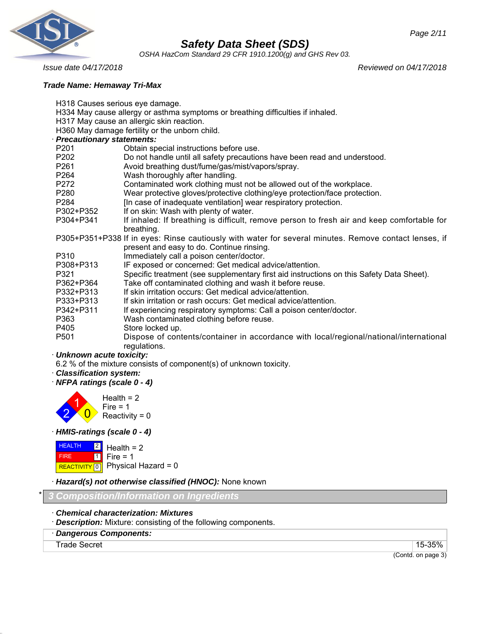



*OSHA HazCom Standard 29 CFR 1910.1200(g) and GHS Rev 03.*

*Issue date 04/17/2018 Reviewed on 04/17/2018*

#### *Trade Name: Hemaway Tri-Max*

H318 Causes serious eye damage.

- H334 May cause allergy or asthma symptoms or breathing difficulties if inhaled.
- H317 May cause an allergic skin reaction.

H360 May damage fertility or the unborn child.

## · *Precautionary statements:*

| r recautionary statements. |                                                                                                       |
|----------------------------|-------------------------------------------------------------------------------------------------------|
| P <sub>201</sub>           | Obtain special instructions before use.                                                               |
| P <sub>202</sub>           | Do not handle until all safety precautions have been read and understood.                             |
| P <sub>261</sub>           | Avoid breathing dust/fume/gas/mist/vapors/spray.                                                      |
| P264                       | Wash thoroughly after handling.                                                                       |
| P272                       | Contaminated work clothing must not be allowed out of the workplace.                                  |
| P <sub>280</sub>           | Wear protective gloves/protective clothing/eye protection/face protection.                            |
| P <sub>2</sub> 84          | [In case of inadequate ventilation] wear respiratory protection.                                      |
| P302+P352                  | If on skin: Wash with plenty of water.                                                                |
| P304+P341                  | If inhaled: If breathing is difficult, remove person to fresh air and keep comfortable for            |
|                            | breathing.                                                                                            |
|                            | P305+P351+P338 If in eyes: Rinse cautiously with water for several minutes. Remove contact lenses, if |
|                            | present and easy to do. Continue rinsing.                                                             |
| P310                       | Immediately call a poison center/doctor.                                                              |
| P308+P313                  | IF exposed or concerned: Get medical advice/attention.                                                |
| P321                       | Specific treatment (see supplementary first aid instructions on this Safety Data Sheet).              |
| P362+P364                  | Take off contaminated clothing and wash it before reuse.                                              |
| P332+P313                  | If skin irritation occurs: Get medical advice/attention.                                              |
| P333+P313                  | If skin irritation or rash occurs: Get medical advice/attention.                                      |
| P342+P311                  | If experiencing respiratory symptoms: Call a poison center/doctor.                                    |
| P363                       | Wash contaminated clothing before reuse.                                                              |
| P405                       | Store locked up.                                                                                      |
| P <sub>501</sub>           | Dispose of contents/container in accordance with local/regional/national/international                |
|                            | regulations.                                                                                          |
|                            |                                                                                                       |

#### · *Unknown acute toxicity:*

6.2 % of the mixture consists of component(s) of unknown toxicity.

- · *Classification system:*
- · *NFPA ratings (scale 0 4)*



· *HMIS-ratings (scale 0 - 4)*



· *Hazard(s) not otherwise classified (HNOC):* None known

\* *3 Composition/Information on Ingredients*

- · *Chemical characterization: Mixtures*
- · *Description:* Mixture: consisting of the following components.
- · *Dangerous Components:*

Trade Secret 15-35%

(Contd. on page 3)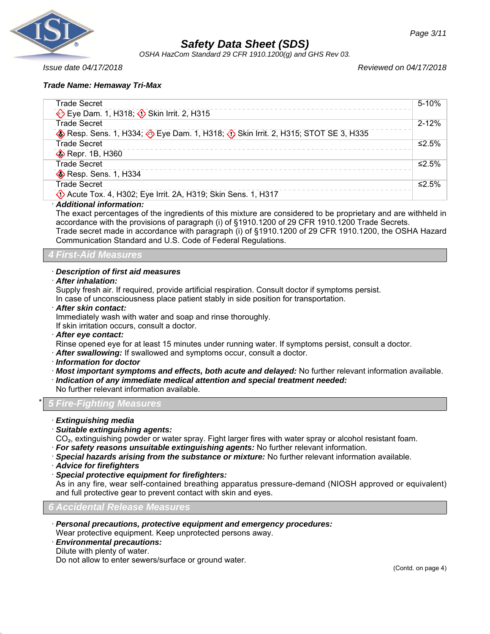

*OSHA HazCom Standard 29 CFR 1910.1200(g) and GHS Rev 03.*

*Issue date 04/17/2018 Reviewed on 04/17/2018*

#### *Trade Name: Hemaway Tri-Max*

| Trade Secret                                                                  | 5-10%     |
|-------------------------------------------------------------------------------|-----------|
| Eye Dam. 1, H318; Skin Irrit. 2, H315                                         |           |
| <b>Trade Secret</b>                                                           | $2 - 12%$ |
| Resp. Sens. 1, H334; Eye Dam. 1, H318; O Skin Irrit. 2, H315; STOT SE 3, H335 |           |
| Trade Secret                                                                  | ≤2.5%     |
| Repr. 1B, H360                                                                |           |
| <b>Trade Secret</b>                                                           | ≤2.5%     |
| <b>B</b> Resp. Sens. 1, H334                                                  |           |
| Trade Secret                                                                  | ≤2.5%     |
| Acute Tox. 4, H302; Eye Irrit. 2A, H319; Skin Sens. 1, H317                   |           |
|                                                                               |           |

#### · *Additional information:*

The exact percentages of the ingredients of this mixture are considered to be proprietary and are withheld in accordance with the provisions of paragraph (i) of §1910.1200 of 29 CFR 1910.1200 Trade Secrets. Trade secret made in accordance with paragraph (i) of §1910.1200 of 29 CFR 1910.1200, the OSHA Hazard Communication Standard and U.S. Code of Federal Regulations.

*4 First-Aid Measures*

#### · *Description of first aid measures*

· *After inhalation:*

Supply fresh air. If required, provide artificial respiration. Consult doctor if symptoms persist.

In case of unconsciousness place patient stably in side position for transportation.

· *After skin contact:*

Immediately wash with water and soap and rinse thoroughly.

If skin irritation occurs, consult a doctor.

· *After eye contact:*

Rinse opened eye for at least 15 minutes under running water. If symptoms persist, consult a doctor.

· *After swallowing:* If swallowed and symptoms occur, consult a doctor.

- · *Information for doctor*
- · *Most important symptoms and effects, both acute and delayed:* No further relevant information available.

· *Indication of any immediate medical attention and special treatment needed:*

No further relevant information available.

## \* *5 Fire-Fighting Measures*

- · *Extinguishing media*
- · *Suitable extinguishing agents:*

CO₂, extinguishing powder or water spray. Fight larger fires with water spray or alcohol resistant foam. · *For safety reasons unsuitable extinguishing agents:* No further relevant information.

- 
- · *Special hazards arising from the substance or mixture:* No further relevant information available.
- · *Advice for firefighters*
- · *Special protective equipment for firefighters:*

As in any fire, wear self-contained breathing apparatus pressure-demand (NIOSH approved or equivalent) and full protective gear to prevent contact with skin and eyes.

*6 Accidental Release Measures*

· *Personal precautions, protective equipment and emergency procedures:*

Wear protective equipment. Keep unprotected persons away.

- · *Environmental precautions:*
- Dilute with plenty of water.

Do not allow to enter sewers/surface or ground water.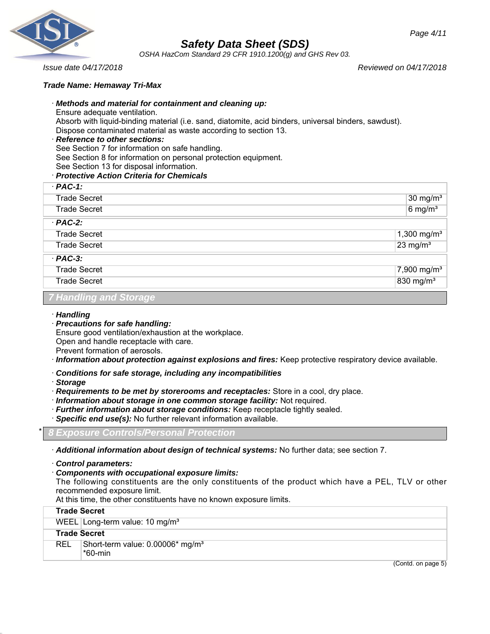

*OSHA HazCom Standard 29 CFR 1910.1200(g) and GHS Rev 03.*

*Page 4/11*

*Issue date 04/17/2018 Reviewed on 04/17/2018*

#### *Trade Name: Hemaway Tri-Max*

#### · *Methods and material for containment and cleaning up:*

Ensure adequate ventilation.

Absorb with liquid-binding material (i.e. sand, diatomite, acid binders, universal binders, sawdust). Dispose contaminated material as waste according to section 13.

#### · *Reference to other sections:*

See Section 7 for information on safe handling.

See Section 8 for information on personal protection equipment.

See Section 13 for disposal information.

#### · *Protective Action Criteria for Chemicals*

| $·$ PAC-1:          |                         |
|---------------------|-------------------------|
| <b>Trade Secret</b> | $30 \text{ mg/m}^3$     |
| <b>Trade Secret</b> | $6$ mg/m <sup>3</sup>   |
| $PAC-2$ :           |                         |
| <b>Trade Secret</b> | 1,300 $mg/m^3$          |
| <b>Trade Secret</b> | $23$ mg/m <sup>3</sup>  |
| $PAC-3$ :           |                         |
| <b>Trade Secret</b> | 7,900 mg/m <sup>3</sup> |
| <b>Trade Secret</b> | 830 mg/m <sup>3</sup>   |

## *7 Handling and Storage*

#### · *Handling*

· *Precautions for safe handling:* Ensure good ventilation/exhaustion at the workplace. Open and handle receptacle with care.

Prevent formation of aerosols.

- · *Information about protection against explosions and fires:* Keep protective respiratory device available.
- · *Conditions for safe storage, including any incompatibilities*
- · *Storage*
- · *Requirements to be met by storerooms and receptacles:* Store in a cool, dry place.
- · *Information about storage in one common storage facility:* Not required.
- · *Further information about storage conditions:* Keep receptacle tightly sealed.
- · *Specific end use(s):* No further relevant information available.

## \* *8 Exposure Controls/Personal Protection*

- · *Additional information about design of technical systems:* No further data; see section 7.
- · *Control parameters:*

## · *Components with occupational exposure limits:*

The following constituents are the only constituents of the product which have a PEL, TLV or other recommended exposure limit.

At this time, the other constituents have no known exposure limits.

|            | <b>Trade Secret</b>                                     |
|------------|---------------------------------------------------------|
|            | WEEL Long-term value: 10 mg/m <sup>3</sup>              |
|            | <b>Trade Secret</b>                                     |
| <b>REL</b> | Short-term value: 0.00006* mg/m <sup>3</sup><br>*60-min |

(Contd. on page 5)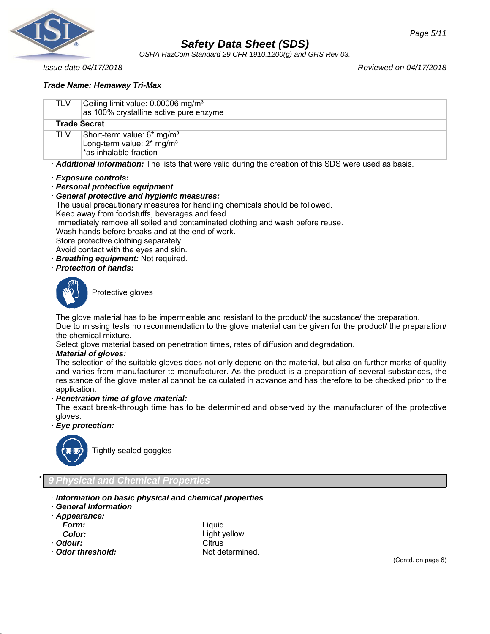

*OSHA HazCom Standard 29 CFR 1910.1200(g) and GHS Rev 03.*

*Issue date 04/17/2018 Reviewed on 04/17/2018*

#### *Trade Name: Hemaway Tri-Max*

TLV Ceiling limit value: 0.00006 mg/m<sup>3</sup> as 100% crystalline active pure

|                                                                                                       | as 100% crystalline active pure enzyme                                                                      |  |  |
|-------------------------------------------------------------------------------------------------------|-------------------------------------------------------------------------------------------------------------|--|--|
|                                                                                                       | <b>Trade Secret</b>                                                                                         |  |  |
| <b>TLV</b>                                                                                            | Short-term value: 6* mg/m <sup>3</sup><br>Long-term value: $2*$ mg/m <sup>3</sup><br>*as inhalable fraction |  |  |
| Additional information: The lists that were valid during the creation of this SDS were used as basis. |                                                                                                             |  |  |
| · Exposure controls:                                                                                  |                                                                                                             |  |  |
| · Personal protective equipment                                                                       |                                                                                                             |  |  |
| <b>General protective and hygienic measures:</b>                                                      |                                                                                                             |  |  |
| The usual precautionary measures for handling chemicals should be followed.                           |                                                                                                             |  |  |
|                                                                                                       | Keep away from foodstuffs, beverages and feed.                                                              |  |  |
|                                                                                                       | Immediately remove all soiled and contaminated clothing and wash before reuse.                              |  |  |
|                                                                                                       | Wash hands hefore breaks and at the end of work                                                             |  |  |

Wash hands before breaks and at the end of work.

Store protective clothing separately.

- Avoid contact with the eyes and skin.
- · *Breathing equipment:* Not required.
- · *Protection of hands:*



Protective gloves

The glove material has to be impermeable and resistant to the product/ the substance/ the preparation. Due to missing tests no recommendation to the glove material can be given for the product/ the preparation/ the chemical mixture.

Select glove material based on penetration times, rates of diffusion and degradation.

#### · *Material of gloves:*

The selection of the suitable gloves does not only depend on the material, but also on further marks of quality and varies from manufacturer to manufacturer. As the product is a preparation of several substances, the resistance of the glove material cannot be calculated in advance and has therefore to be checked prior to the application.

#### · *Penetration time of glove material:*

The exact break-through time has to be determined and observed by the manufacturer of the protective gloves.

#### · *Eye protection:*



Tightly sealed goggles

## \* *9 Physical and Chemical Properties*

- · *Information on basic physical and chemical properties*
- · *General Information*
- · *Appearance:*

- 
- 
- · **Odor threshold:** Not determined.

*Form:* Liquid Light yellow · **Odour:** Citrus

(Contd. on page 6)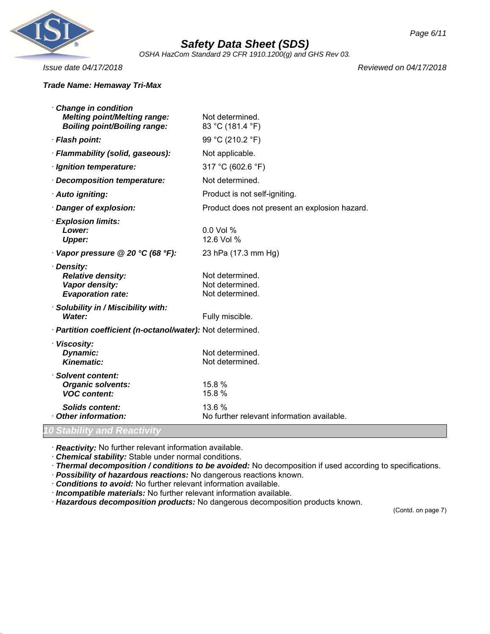

*OSHA HazCom Standard 29 CFR 1910.1200(g) and GHS Rev 03.*

#### *Trade Name: Hemaway Tri-Max*

*Issue date 04/17/2018 Reviewed on 04/17/2018*

| Change in condition<br><b>Melting point/Melting range:</b><br><b>Boiling point/Boiling range:</b> | Not determined.<br>83 °C (181.4 °F)                   |
|---------------------------------------------------------------------------------------------------|-------------------------------------------------------|
| · Flash point:                                                                                    | 99 °C (210.2 °F)                                      |
| · Flammability (solid, gaseous):                                                                  | Not applicable.                                       |
| · Ignition temperature:                                                                           | 317 °C (602.6 °F)                                     |
| · Decomposition temperature:                                                                      | Not determined.                                       |
| · Auto igniting:                                                                                  | Product is not self-igniting.                         |
| · Danger of explosion:                                                                            | Product does not present an explosion hazard.         |
| <b>Explosion limits:</b><br>Lower:<br><b>Upper:</b>                                               | $0.0$ Vol %<br>12.6 Vol %                             |
| Vapor pressure @ 20 °C (68 °F):                                                                   | 23 hPa (17.3 mm Hg)                                   |
| · Density:<br><b>Relative density:</b><br>Vapor density:<br><b>Evaporation rate:</b>              | Not determined.<br>Not determined.<br>Not determined. |
| · Solubility in / Miscibility with:<br>Water:                                                     | Fully miscible.                                       |
| · Partition coefficient (n-octanol/water): Not determined.                                        |                                                       |
| · Viscosity:<br>Dynamic:<br><b>Kinematic:</b>                                                     | Not determined.<br>Not determined.                    |
| · Solvent content:<br><b>Organic solvents:</b><br><b>VOC content:</b>                             | 15.8 %<br>15.8 %                                      |
| Solids content:<br>Other information:                                                             | 13.6%<br>No further relevant information available.   |
| 10 Stability and Reactivity                                                                       |                                                       |

· *Reactivity:* No further relevant information available.

· *Chemical stability:* Stable under normal conditions.

· *Thermal decomposition / conditions to be avoided:* No decomposition if used according to specifications.

· *Possibility of hazardous reactions:* No dangerous reactions known.

· *Conditions to avoid:* No further relevant information available.

· *Incompatible materials:* No further relevant information available.

· *Hazardous decomposition products:* No dangerous decomposition products known.

(Contd. on page 7)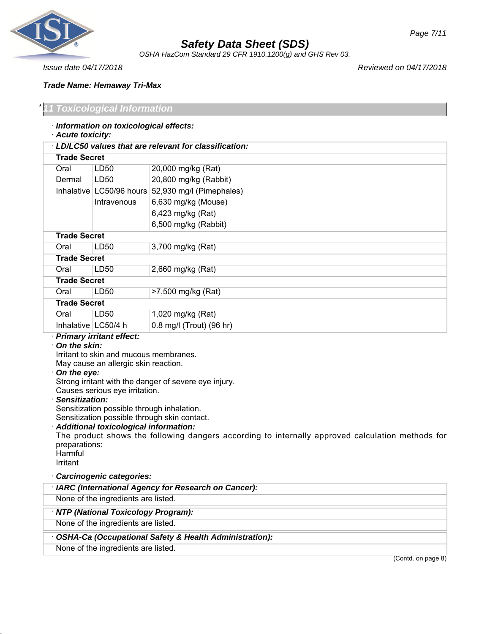

*OSHA HazCom Standard 29 CFR 1910.1200(g) and GHS Rev 03.*

#### *Trade Name: Hemaway Tri-Max*

## *Toxicological Information*

## · *Information on toxicological effects:*

## · *Acute toxicity:*

|                       | LD/LC50 values that are relevant for classification: |                            |  |
|-----------------------|------------------------------------------------------|----------------------------|--|
|                       | <b>Trade Secret</b>                                  |                            |  |
| Oral                  | LD50                                                 | 20,000 mg/kg (Rat)         |  |
| Dermal                | LD50                                                 | 20,800 mg/kg (Rabbit)      |  |
|                       | Inhalative LC50/96 hours                             | 52,930 mg/l (Pimephales)   |  |
|                       | Intravenous                                          | 6,630 mg/kg (Mouse)        |  |
|                       |                                                      | 6,423 mg/kg (Rat)          |  |
|                       |                                                      | 6,500 mg/kg (Rabbit)       |  |
| <b>Trade Secret</b>   |                                                      |                            |  |
| Oral                  | LD50                                                 | 3,700 mg/kg (Rat)          |  |
| <b>Trade Secret</b>   |                                                      |                            |  |
| Oral                  | LD50                                                 | 2,660 mg/kg (Rat)          |  |
| <b>Trade Secret</b>   |                                                      |                            |  |
| Oral                  | LD50                                                 | >7,500 mg/kg (Rat)         |  |
| <b>Trade Secret</b>   |                                                      |                            |  |
| Oral                  | LD50                                                 | 1,020 mg/kg (Rat)          |  |
| Inhalative   LC50/4 h |                                                      | $0.8$ mg/l (Trout) (96 hr) |  |

## · *Primary irritant effect:*

#### · *On the skin:*

Irritant to skin and mucous membranes. May cause an allergic skin reaction.

#### · *On the eye:*

Strong irritant with the danger of severe eye injury.

## Causes serious eye irritation.

#### · *Sensitization:*

Sensitization possible through inhalation.

## Sensitization possible through skin contact.

## · *Additional toxicological information:*

The product shows the following dangers according to internally approved calculation methods for preparations:

**Harmful** Irritant

## · *Carcinogenic categories:*

| · IARC (International Agency for Research on Cancer):  |
|--------------------------------------------------------|
| None of the ingredients are listed.                    |
| · NTP (National Toxicology Program):                   |
| None of the ingredients are listed.                    |
| OSHA-Ca (Occupational Safety & Health Administration): |
| None of the ingredients are listed.                    |
| (Contd. on page 8)                                     |

*Issue date 04/17/2018 Reviewed on 04/17/2018*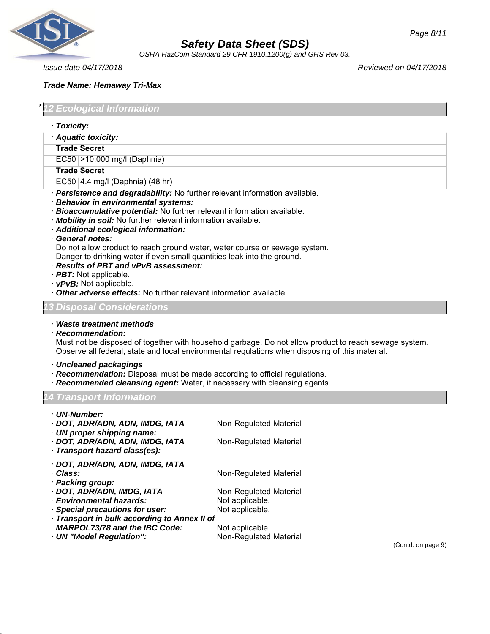

*OSHA HazCom Standard 29 CFR 1910.1200(g) and GHS Rev 03.*

*Issue date 04/17/2018 Reviewed on 04/17/2018*

#### *Trade Name: Hemaway Tri-Max*

*Ecological Information* 

- · *Toxicity:*
- · *Aquatic toxicity:*

#### **Trade Secret**

EC50 >10,000 mg/l (Daphnia)

#### **Trade Secret**

- EC50 4.4 mg/l (Daphnia) (48 hr)
- · *Persistence and degradability:* No further relevant information available.
- · *Behavior in environmental systems:*
- · *Bioaccumulative potential:* No further relevant information available.
- · *Mobility in soil:* No further relevant information available.
- · *Additional ecological information:*

#### · *General notes:*

Do not allow product to reach ground water, water course or sewage system. Danger to drinking water if even small quantities leak into the ground.

- · *Results of PBT and vPvB assessment:*
- · *PBT:* Not applicable.
- · *vPvB:* Not applicable.
- · *Other adverse effects:* No further relevant information available.

#### *13 Disposal Considerations*

· *Waste treatment methods*

#### · *Recommendation:*

Must not be disposed of together with household garbage. Do not allow product to reach sewage system. Observe all federal, state and local environmental regulations when disposing of this material.

- · *Uncleaned packagings*
- · *Recommendation:* Disposal must be made according to official regulations.
- **Recommended cleansing agent:** Water, if necessary with cleansing agents.

#### *14 Transport Information*

| · UN-Number:                                 |                        |
|----------------------------------------------|------------------------|
| · DOT, ADR/ADN, ADN, IMDG, IATA              | Non-Regulated Material |
| · UN proper shipping name:                   |                        |
| · DOT, ADR/ADN, ADN, IMDG, IATA              | Non-Regulated Material |
| · Transport hazard class(es):                |                        |
| · DOT, ADR/ADN, ADN, IMDG, IATA              |                        |
| · Class:                                     | Non-Regulated Material |
| · Packing group:                             |                        |
| · DOT, ADR/ADN, IMDG, IATA                   | Non-Regulated Material |
| · Environmental hazards:                     | Not applicable.        |
| · Special precautions for user:              | Not applicable.        |
| · Transport in bulk according to Annex II of |                        |
| <b>MARPOL73/78 and the IBC Code:</b>         | Not applicable.        |

· **UN "Model Regulation":** Non-Regulated Material

(Contd. on page 9)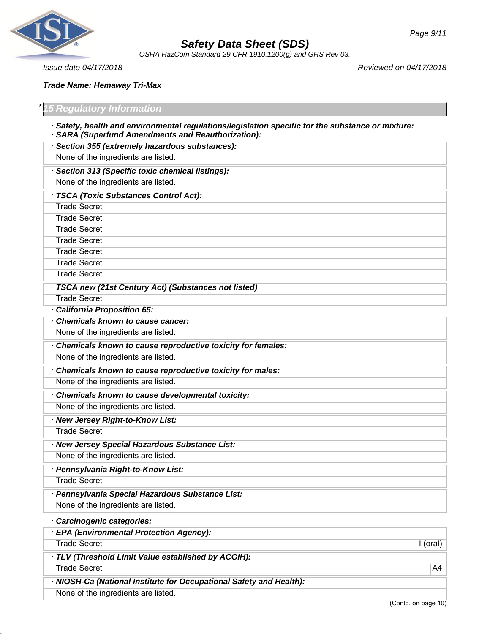

*OSHA HazCom Standard 29 CFR 1910.1200(g) and GHS Rev 03.*

*Page 9/11*

*Issue date 04/17/2018 Reviewed on 04/17/2018*

*Trade Name: Hemaway Tri-Max*

|  | *15 Regulatory Information |  |
|--|----------------------------|--|
|  |                            |  |

- · *Safety, health and environmental regulations/legislation specific for the substance or mixture:* · *SARA (Superfund Amendments and Reauthorization):*
- · *Section 355 (extremely hazardous substances):* None of the ingredients are listed. · *Section 313 (Specific toxic chemical listings):* None of the ingredients are listed. · *TSCA (Toxic Substances Control Act):* Trade Secret Trade Secret Trade Secret Trade Secret Trade Secret Trade Secret Trade Secret · *TSCA new (21st Century Act) (Substances not listed)* Trade Secret · *California Proposition 65:* · *Chemicals known to cause cancer:* None of the ingredients are listed. · *Chemicals known to cause reproductive toxicity for females:* None of the ingredients are listed. · *Chemicals known to cause reproductive toxicity for males:* None of the ingredients are listed. · *Chemicals known to cause developmental toxicity:* None of the ingredients are listed. · *New Jersey Right-to-Know List:* Trade Secret · *New Jersey Special Hazardous Substance List:* None of the ingredients are listed. · *Pennsylvania Right-to-Know List:* Trade Secret · *Pennsylvania Special Hazardous Substance List:* None of the ingredients are listed. · *Carcinogenic categories:* · *EPA (Environmental Protection Agency):* Trade Secret **I** (oral) **I** (oral)
	- · *TLV (Threshold Limit Value established by ACGIH):*
	- Trade Secret A4
	- · *NIOSH-Ca (National Institute for Occupational Safety and Health):* None of the ingredients are listed.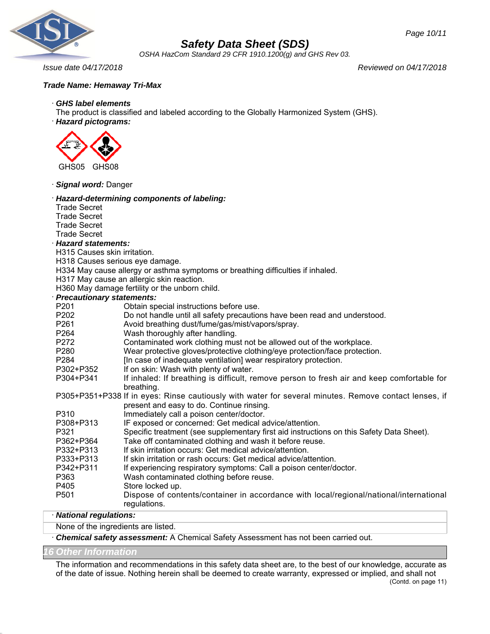

*OSHA HazCom Standard 29 CFR 1910.1200(g) and GHS Rev 03.*

*Issue date 04/17/2018 Reviewed on 04/17/2018*

## *Trade Name: Hemaway Tri-Max*

## · *GHS label elements*

The product is classified and labeled according to the Globally Harmonized System (GHS).

· *Hazard pictograms:*



· *Signal word:* Danger

| <b>Jiyilal WUTU.</b> Daliy <del>c</del> i                                                                             |                                                                                                                     |
|-----------------------------------------------------------------------------------------------------------------------|---------------------------------------------------------------------------------------------------------------------|
| <b>Trade Secret</b><br><b>Trade Secret</b><br><b>Trade Secret</b><br><b>Trade Secret</b><br><b>Hazard statements:</b> | Hazard-determining components of labeling:                                                                          |
| H315 Causes skin irritation.                                                                                          |                                                                                                                     |
| H318 Causes serious eye damage.                                                                                       |                                                                                                                     |
|                                                                                                                       | H334 May cause allergy or asthma symptoms or breathing difficulties if inhaled.                                     |
|                                                                                                                       | H317 May cause an allergic skin reaction.                                                                           |
|                                                                                                                       | H360 May damage fertility or the unborn child.                                                                      |
| <b>Precautionary statements:</b>                                                                                      |                                                                                                                     |
| P201                                                                                                                  | Obtain special instructions before use.                                                                             |
| P202                                                                                                                  | Do not handle until all safety precautions have been read and understood.                                           |
| P261                                                                                                                  | Avoid breathing dust/fume/gas/mist/vapors/spray.                                                                    |
| P264                                                                                                                  | Wash thoroughly after handling.                                                                                     |
| P272                                                                                                                  | Contaminated work clothing must not be allowed out of the workplace.                                                |
| P280                                                                                                                  | Wear protective gloves/protective clothing/eye protection/face protection.                                          |
| P <sub>284</sub>                                                                                                      | [In case of inadequate ventilation] wear respiratory protection.                                                    |
| P302+P352                                                                                                             | If on skin: Wash with plenty of water.                                                                              |
| P304+P341                                                                                                             | If inhaled: If breathing is difficult, remove person to fresh air and keep comfortable for                          |
|                                                                                                                       | breathing.<br>P305+P351+P338 If in eyes: Rinse cautiously with water for several minutes. Remove contact lenses, if |
|                                                                                                                       | present and easy to do. Continue rinsing.                                                                           |
| P310                                                                                                                  | Immediately call a poison center/doctor.                                                                            |
| P308+P313                                                                                                             | IF exposed or concerned: Get medical advice/attention.                                                              |
| P321                                                                                                                  | Specific treatment (see supplementary first aid instructions on this Safety Data Sheet).                            |
| P362+P364                                                                                                             | Take off contaminated clothing and wash it before reuse.                                                            |
| P332+P313                                                                                                             | If skin irritation occurs: Get medical advice/attention.                                                            |
| P333+P313                                                                                                             | If skin irritation or rash occurs: Get medical advice/attention.                                                    |
| P342+P311                                                                                                             | If experiencing respiratory symptoms: Call a poison center/doctor.                                                  |
| P363                                                                                                                  | Wash contaminated clothing before reuse.                                                                            |
| P405                                                                                                                  | Store locked up.                                                                                                    |
| P501                                                                                                                  | Dispose of contents/container in accordance with local/regional/national/international                              |
|                                                                                                                       | regulations.                                                                                                        |

## · *National regulations:*

None of the ingredients are listed.

· *Chemical safety assessment:* A Chemical Safety Assessment has not been carried out.

#### *16 Other Information*

The information and recommendations in this safety data sheet are, to the best of our knowledge, accurate as of the date of issue. Nothing herein shall be deemed to create warranty, expressed or implied, and shall not